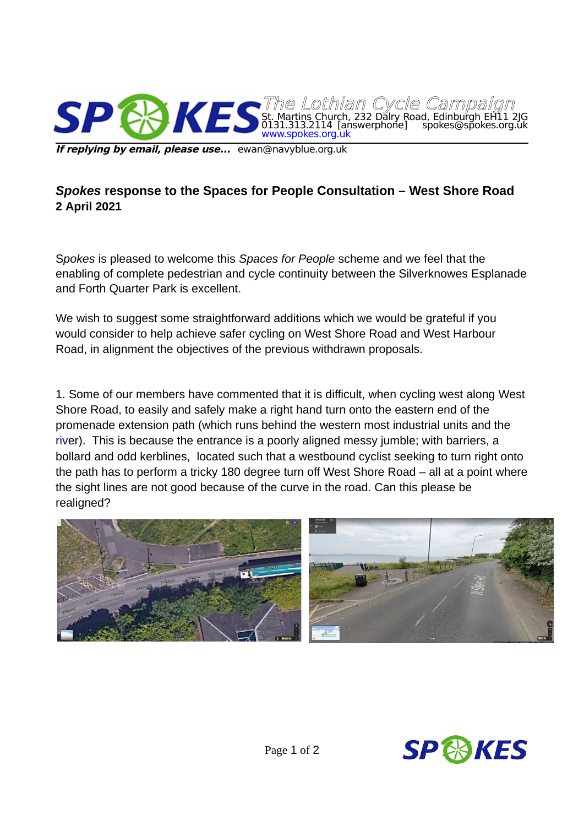

**If replying by email, please use...** ewan@navyblue.org.uk

## *Spokes* **response to the Spaces for People Consultation – West Shore Road 2 April 2021**

S*pokes* is pleased to welcome this *Spaces for People* scheme and we feel that the enabling of complete pedestrian and cycle continuity between the Silverknowes Esplanade and Forth Quarter Park is excellent.

We wish to suggest some straightforward additions which we would be grateful if you would consider to help achieve safer cycling on West Shore Road and West Harbour Road, in alignment the objectives of the previous withdrawn proposals.

1. Some of our members have commented that it is difficult, when cycling west along West Shore Road, to easily and safely make a right hand turn onto the eastern end of the promenade extension path (which runs behind the western most industrial units and the [riv](./%3Ciframe%20src=%22https:%2F%2Fwww.google.com%2Fmaps%2Fembed%3Fpb=!4v1617350316410!6m8!1m7!1sXJgjgJPihFwbdyUZN1Y8gw!2m2!1d55.98286388736673!2d-3.241314135317727!3f24.66035915757984!4f-4.929195246623237!5f0.7820865974627469%22%20width=%22600%22%20height=%22450%22%20style=%22border:0%3B%22%20allowfullscreen=%22%22%20loading=%22lazy%22%3E%3C%2Fiframe%3E)er). This is because the entrance is a poorly aligned messy jumble; with barriers, a bollard and odd kerblines, located such that a westbound cyclist seeking to turn right onto the path has to perform a tricky 180 degree turn off West Shore Road – all at a point where the sight lines are not good because of the curve in the road. Can this please be realigned?